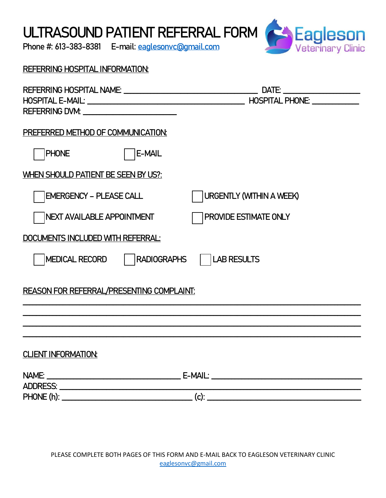ULTRASOUND PATIENT REFERRAL FORM

Phone #: 613-383-8381 E-mail: [eaglesonvc@gmail.com](mailto:eaglesonvc@gmail.com)



| <b>REFERRING HOSPITAL INFORMATION:</b>                                                                                                                                                                                         |                                 |  |
|--------------------------------------------------------------------------------------------------------------------------------------------------------------------------------------------------------------------------------|---------------------------------|--|
| REFERRING DVM: North Management of the Management of the Management of the Management of the Management of the Management of the Management of the Management of the Management of the Management of the Management of the Man |                                 |  |
| PREFERRED METHOD OF COMMUNICATION:                                                                                                                                                                                             |                                 |  |
| <b>PHONE</b><br>E-MAIL                                                                                                                                                                                                         |                                 |  |
| WHEN SHOULD PATIENT BE SEEN BY US?:                                                                                                                                                                                            |                                 |  |
| <b>EMERGENCY - PLEASE CALL</b>                                                                                                                                                                                                 | <b>URGENTLY (WITHIN A WEEK)</b> |  |
| NEXT AVAILABLE APPOINTMENT                                                                                                                                                                                                     | PROVIDE ESTIMATE ONLY           |  |
| DOCUMENTS INCLUDED WITH REFERRAL:                                                                                                                                                                                              |                                 |  |
| MEDICAL RECORD<br><b>RADIOGRAPHS</b>                                                                                                                                                                                           | <b>LAB RESULTS</b>              |  |
| <b>REASON FOR REFERRAL/PRESENTING COMPLAINT:</b>                                                                                                                                                                               |                                 |  |
|                                                                                                                                                                                                                                |                                 |  |
| <b>CLIENT INFORMATION:</b>                                                                                                                                                                                                     |                                 |  |
|                                                                                                                                                                                                                                |                                 |  |
|                                                                                                                                                                                                                                |                                 |  |
|                                                                                                                                                                                                                                |                                 |  |

PLEASE COMPLETE BOTH PAGES OF THIS FORM AND E-MAIL BACK TO EAGLESON VETERINARY CLINIC [eaglesonvc@gmail.com](mailto:eaglesonvc@gmail.com)